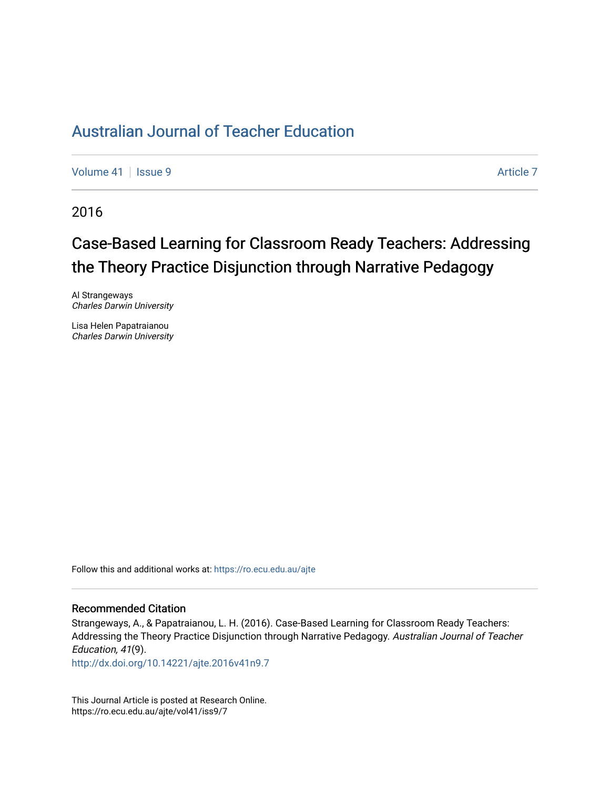[Volume 41](https://ro.ecu.edu.au/ajte/vol41) | [Issue 9](https://ro.ecu.edu.au/ajte/vol41/iss9) Article 7

2016

# Case-Based Learning for Classroom Ready Teachers: Addressing the Theory Practice Disjunction through Narrative Pedagogy

Al Strangeways Charles Darwin University

Lisa Helen Papatraianou Charles Darwin University

Follow this and additional works at: [https://ro.ecu.edu.au/ajte](https://ro.ecu.edu.au/ajte?utm_source=ro.ecu.edu.au%2Fajte%2Fvol41%2Fiss9%2F7&utm_medium=PDF&utm_campaign=PDFCoverPages) 

#### Recommended Citation

Strangeways, A., & Papatraianou, L. H. (2016). Case-Based Learning for Classroom Ready Teachers: Addressing the Theory Practice Disjunction through Narrative Pedagogy. Australian Journal of Teacher Education, 41(9).

<http://dx.doi.org/10.14221/ajte.2016v41n9.7>

This Journal Article is posted at Research Online. https://ro.ecu.edu.au/ajte/vol41/iss9/7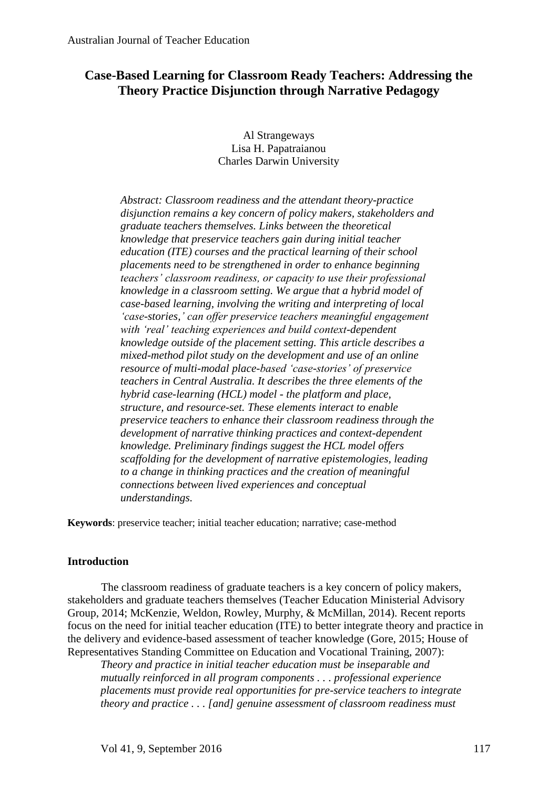# **Case-Based Learning for Classroom Ready Teachers: Addressing the Theory Practice Disjunction through Narrative Pedagogy**

Al Strangeways Lisa H. Papatraianou Charles Darwin University

*Abstract: Classroom readiness and the attendant theory-practice disjunction remains a key concern of policy makers, stakeholders and graduate teachers themselves. Links between the theoretical knowledge that preservice teachers gain during initial teacher education (ITE) courses and the practical learning of their school placements need to be strengthened in order to enhance beginning teachers' classroom readiness, or capacity to use their professional knowledge in a classroom setting. We argue that a hybrid model of case-based learning, involving the writing and interpreting of local 'case-stories,' can offer preservice teachers meaningful engagement with 'real' teaching experiences and build context-dependent knowledge outside of the placement setting. This article describes a mixed-method pilot study on the development and use of an online resource of multi-modal place-based 'case-stories' of preservice teachers in Central Australia. It describes the three elements of the hybrid case-learning (HCL) model - the platform and place, structure, and resource-set. These elements interact to enable preservice teachers to enhance their classroom readiness through the development of narrative thinking practices and context-dependent knowledge. Preliminary findings suggest the HCL model offers scaffolding for the development of narrative epistemologies, leading to a change in thinking practices and the creation of meaningful connections between lived experiences and conceptual understandings.*

**Keywords**: preservice teacher; initial teacher education; narrative; case-method

## **Introduction**

The classroom readiness of graduate teachers is a key concern of policy makers, stakeholders and graduate teachers themselves (Teacher Education Ministerial Advisory Group, 2014; McKenzie, Weldon, Rowley, Murphy, & McMillan, 2014). Recent reports focus on the need for initial teacher education (ITE) to better integrate theory and practice in the delivery and evidence-based assessment of teacher knowledge (Gore, 2015; House of Representatives Standing Committee on Education and Vocational Training, 2007):

*Theory and practice in initial teacher education must be inseparable and mutually reinforced in all program components . . . professional experience placements must provide real opportunities for pre-service teachers to integrate theory and practice . . . [and] genuine assessment of classroom readiness must*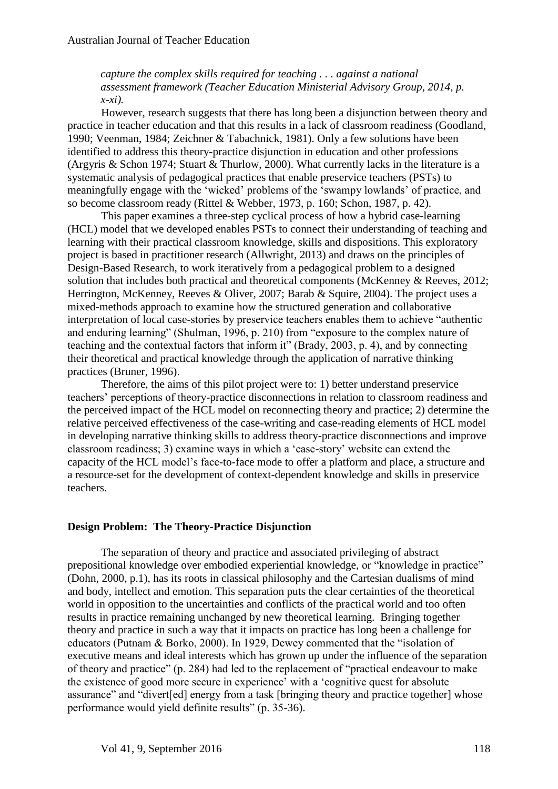## *capture the complex skills required for teaching . . . against a national assessment framework (Teacher Education Ministerial Advisory Group, 2014, p. x-xi).*

However, research suggests that there has long been a disjunction between theory and practice in teacher education and that this results in a lack of classroom readiness (Goodland, 1990; Veenman, 1984; Zeichner & Tabachnick, 1981). Only a few solutions have been identified to address this theory-practice disjunction in education and other professions (Argyris & Schon 1974; Stuart & Thurlow, 2000). What currently lacks in the literature is a systematic analysis of pedagogical practices that enable preservice teachers (PSTs) to meaningfully engage with the 'wicked' problems of the 'swampy lowlands' of practice, and so become classroom ready (Rittel & Webber, 1973, p. 160; Schon, 1987, p. 42).

This paper examines a three-step cyclical process of how a hybrid case-learning (HCL) model that we developed enables PSTs to connect their understanding of teaching and learning with their practical classroom knowledge, skills and dispositions. This exploratory project is based in practitioner research (Allwright, 2013) and draws on the principles of Design-Based Research, to work iteratively from a pedagogical problem to a designed solution that includes both practical and theoretical components (McKenney & Reeves, 2012; Herrington, McKenney, Reeves & Oliver, 2007; Barab & Squire, 2004). The project uses a mixed-methods approach to examine how the structured generation and collaborative interpretation of local case-stories by preservice teachers enables them to achieve "authentic and enduring learning" (Shulman, 1996, p. 210) from "exposure to the complex nature of teaching and the contextual factors that inform it" (Brady, 2003, p. 4), and by connecting their theoretical and practical knowledge through the application of narrative thinking practices (Bruner, 1996).

Therefore, the aims of this pilot project were to: 1) better understand preservice teachers' perceptions of theory-practice disconnections in relation to classroom readiness and the perceived impact of the HCL model on reconnecting theory and practice; 2) determine the relative perceived effectiveness of the case-writing and case-reading elements of HCL model in developing narrative thinking skills to address theory-practice disconnections and improve classroom readiness; 3) examine ways in which a 'case-story' website can extend the capacity of the HCL model's face-to-face mode to offer a platform and place, a structure and a resource-set for the development of context-dependent knowledge and skills in preservice teachers.

#### **Design Problem: The Theory-Practice Disjunction**

The separation of theory and practice and associated privileging of abstract prepositional knowledge over embodied experiential knowledge, or "knowledge in practice" (Dohn, 2000, p.1), has its roots in classical philosophy and the Cartesian dualisms of mind and body, intellect and emotion. This separation puts the clear certainties of the theoretical world in opposition to the uncertainties and conflicts of the practical world and too often results in practice remaining unchanged by new theoretical learning. Bringing together theory and practice in such a way that it impacts on practice has long been a challenge for educators (Putnam & Borko, 2000). In 1929, Dewey commented that the "isolation of executive means and ideal interests which has grown up under the influence of the separation of theory and practice" (p. 284) had led to the replacement of "practical endeavour to make the existence of good more secure in experience' with a 'cognitive quest for absolute assurance" and "divert[ed] energy from a task [bringing theory and practice together] whose performance would yield definite results" (p. 35-36).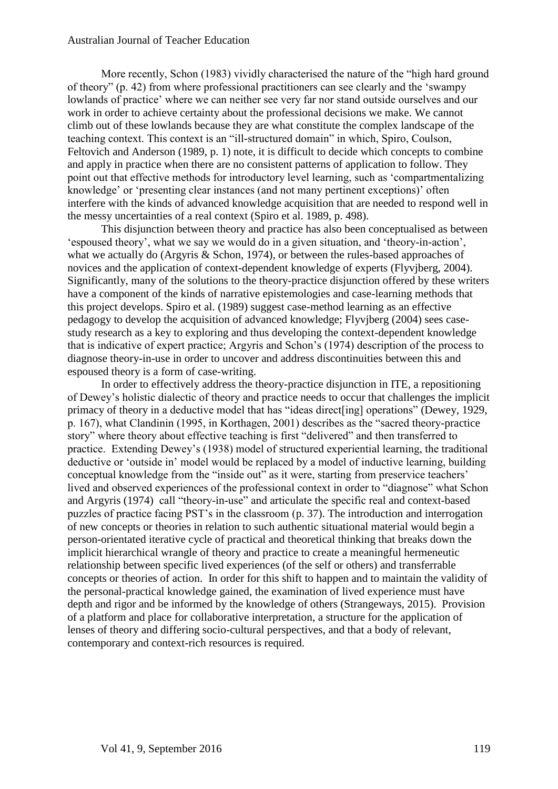More recently, Schon (1983) vividly characterised the nature of the "high hard ground of theory" (p. 42) from where professional practitioners can see clearly and the 'swampy lowlands of practice' where we can neither see very far nor stand outside ourselves and our work in order to achieve certainty about the professional decisions we make. We cannot climb out of these lowlands because they are what constitute the complex landscape of the teaching context. This context is an "ill-structured domain" in which, Spiro, Coulson, Feltovich and Anderson (1989, p. 1) note, it is difficult to decide which concepts to combine and apply in practice when there are no consistent patterns of application to follow. They point out that effective methods for introductory level learning, such as 'compartmentalizing knowledge' or 'presenting clear instances (and not many pertinent exceptions)' often interfere with the kinds of advanced knowledge acquisition that are needed to respond well in the messy uncertainties of a real context (Spiro et al. 1989, p. 498).

This disjunction between theory and practice has also been conceptualised as between 'espoused theory', what we say we would do in a given situation, and 'theory-in-action', what we actually do (Argyris & Schon, 1974), or between the rules-based approaches of novices and the application of context-dependent knowledge of experts (Flyvjberg, 2004). Significantly, many of the solutions to the theory-practice disjunction offered by these writers have a component of the kinds of narrative epistemologies and case-learning methods that this project develops. Spiro et al. (1989) suggest case-method learning as an effective pedagogy to develop the acquisition of advanced knowledge; Flyvjberg (2004) sees casestudy research as a key to exploring and thus developing the context-dependent knowledge that is indicative of expert practice; Argyris and Schon's (1974) description of the process to diagnose theory-in-use in order to uncover and address discontinuities between this and espoused theory is a form of case-writing.

In order to effectively address the theory-practice disjunction in ITE, a repositioning of Dewey's holistic dialectic of theory and practice needs to occur that challenges the implicit primacy of theory in a deductive model that has "ideas direct[ing] operations" (Dewey, 1929, p. 167), what Clandinin (1995, in Korthagen, 2001) describes as the "sacred theory-practice story" where theory about effective teaching is first "delivered" and then transferred to practice. Extending Dewey's (1938) model of structured experiential learning, the traditional deductive or 'outside in' model would be replaced by a model of inductive learning, building conceptual knowledge from the "inside out" as it were, starting from preservice teachers' lived and observed experiences of the professional context in order to "diagnose" what Schon and Argyris (1974) call "theory-in-use" and articulate the specific real and context-based puzzles of practice facing PST's in the classroom (p. 37). The introduction and interrogation of new concepts or theories in relation to such authentic situational material would begin a person-orientated iterative cycle of practical and theoretical thinking that breaks down the implicit hierarchical wrangle of theory and practice to create a meaningful hermeneutic relationship between specific lived experiences (of the self or others) and transferrable concepts or theories of action. In order for this shift to happen and to maintain the validity of the personal-practical knowledge gained, the examination of lived experience must have depth and rigor and be informed by the knowledge of others (Strangeways, 2015). Provision of a platform and place for collaborative interpretation, a structure for the application of lenses of theory and differing socio-cultural perspectives, and that a body of relevant, contemporary and context-rich resources is required.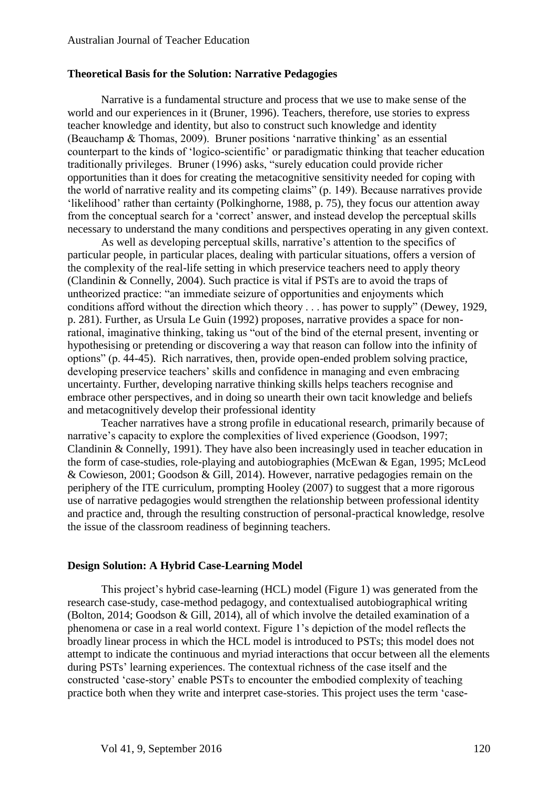#### **Theoretical Basis for the Solution: Narrative Pedagogies**

Narrative is a fundamental structure and process that we use to make sense of the world and our experiences in it (Bruner, 1996). Teachers, therefore, use stories to express teacher knowledge and identity, but also to construct such knowledge and identity (Beauchamp & Thomas, 2009). Bruner positions 'narrative thinking' as an essential counterpart to the kinds of 'logico-scientific' or paradigmatic thinking that teacher education traditionally privileges. Bruner (1996) asks, "surely education could provide richer opportunities than it does for creating the metacognitive sensitivity needed for coping with the world of narrative reality and its competing claims" (p. 149). Because narratives provide 'likelihood' rather than certainty (Polkinghorne, 1988, p. 75), they focus our attention away from the conceptual search for a 'correct' answer, and instead develop the perceptual skills necessary to understand the many conditions and perspectives operating in any given context.

As well as developing perceptual skills, narrative's attention to the specifics of particular people, in particular places, dealing with particular situations, offers a version of the complexity of the real-life setting in which preservice teachers need to apply theory (Clandinin & Connelly, 2004). Such practice is vital if PSTs are to avoid the traps of untheorized practice: "an immediate seizure of opportunities and enjoyments which conditions afford without the direction which theory . . . has power to supply" (Dewey, 1929, p. 281). Further, as Ursula Le Guin (1992) proposes, narrative provides a space for nonrational, imaginative thinking, taking us "out of the bind of the eternal present, inventing or hypothesising or pretending or discovering a way that reason can follow into the infinity of options" (p. 44-45). Rich narratives, then, provide open-ended problem solving practice, developing preservice teachers' skills and confidence in managing and even embracing uncertainty. Further, developing narrative thinking skills helps teachers recognise and embrace other perspectives, and in doing so unearth their own tacit knowledge and beliefs and metacognitively develop their professional identity

Teacher narratives have a strong profile in educational research, primarily because of narrative's capacity to explore the complexities of lived experience (Goodson, 1997; Clandinin & Connelly, 1991). They have also been increasingly used in teacher education in the form of case-studies, role-playing and autobiographies (McEwan & Egan, 1995; McLeod & Cowieson, 2001; Goodson & Gill, 2014). However, narrative pedagogies remain on the periphery of the ITE curriculum, prompting Hooley (2007) to suggest that a more rigorous use of narrative pedagogies would strengthen the relationship between professional identity and practice and, through the resulting construction of personal-practical knowledge, resolve the issue of the classroom readiness of beginning teachers.

## **Design Solution: A Hybrid Case-Learning Model**

This project's hybrid case-learning (HCL) model (Figure 1) was generated from the research case-study, case-method pedagogy, and contextualised autobiographical writing (Bolton, 2014; Goodson & Gill, 2014), all of which involve the detailed examination of a phenomena or case in a real world context. Figure 1's depiction of the model reflects the broadly linear process in which the HCL model is introduced to PSTs; this model does not attempt to indicate the continuous and myriad interactions that occur between all the elements during PSTs' learning experiences. The contextual richness of the case itself and the constructed 'case-story' enable PSTs to encounter the embodied complexity of teaching practice both when they write and interpret case-stories. This project uses the term 'case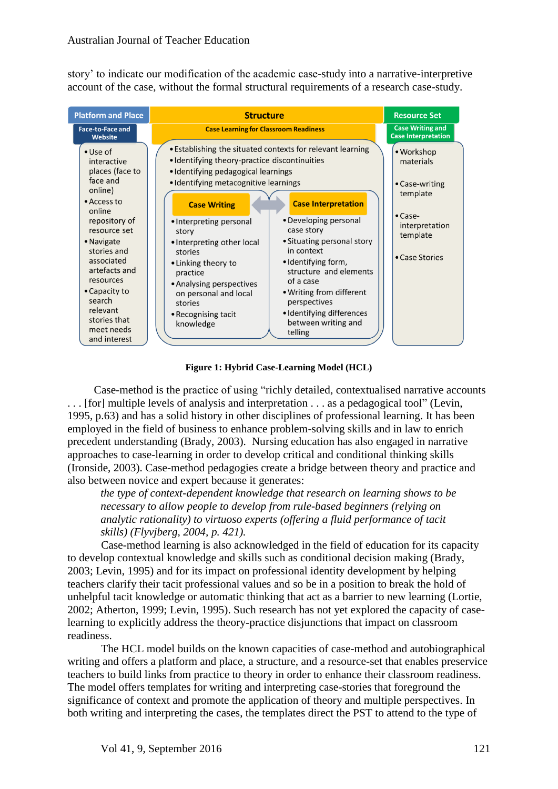story' to indicate our modification of the academic case-study into a narrative-interpretive account of the case, without the formal structural requirements of a research case-study.



**Figure 1: Hybrid Case-Learning Model (HCL)**

Case-method is the practice of using "richly detailed, contextualised narrative accounts . . . [for] multiple levels of analysis and interpretation . . . as a pedagogical tool" (Levin, 1995, p.63) and has a solid history in other disciplines of professional learning. It has been employed in the field of business to enhance problem-solving skills and in law to enrich precedent understanding (Brady, 2003). Nursing education has also engaged in narrative approaches to case-learning in order to develop critical and conditional thinking skills (Ironside, 2003). Case-method pedagogies create a bridge between theory and practice and also between novice and expert because it generates:

*the type of context-dependent knowledge that research on learning shows to be necessary to allow people to develop from rule-based beginners (relying on analytic rationality) to virtuoso experts (offering a fluid performance of tacit skills) (Flyvjberg, 2004, p. 421).* 

Case-method learning is also acknowledged in the field of education for its capacity to develop contextual knowledge and skills such as conditional decision making (Brady, 2003; Levin, 1995) and for its impact on professional identity development by helping teachers clarify their tacit professional values and so be in a position to break the hold of unhelpful tacit knowledge or automatic thinking that act as a barrier to new learning (Lortie, 2002; Atherton, 1999; Levin, 1995). Such research has not yet explored the capacity of caselearning to explicitly address the theory-practice disjunctions that impact on classroom readiness.

The HCL model builds on the known capacities of case-method and autobiographical writing and offers a platform and place, a structure, and a resource-set that enables preservice teachers to build links from practice to theory in order to enhance their classroom readiness. The model offers templates for writing and interpreting case-stories that foreground the significance of context and promote the application of theory and multiple perspectives. In both writing and interpreting the cases, the templates direct the PST to attend to the type of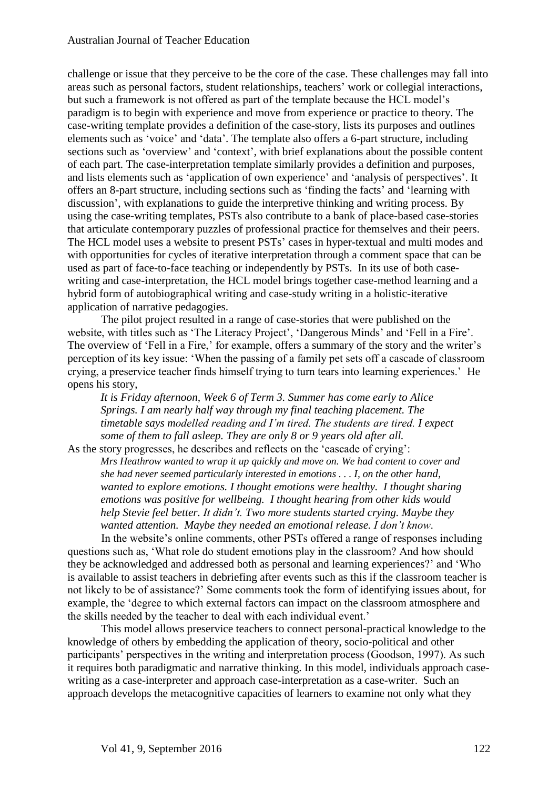challenge or issue that they perceive to be the core of the case. These challenges may fall into areas such as personal factors, student relationships, teachers' work or collegial interactions, but such a framework is not offered as part of the template because the HCL model's paradigm is to begin with experience and move from experience or practice to theory. The case-writing template provides a definition of the case-story, lists its purposes and outlines elements such as 'voice' and 'data'. The template also offers a 6-part structure, including sections such as 'overview' and 'context', with brief explanations about the possible content of each part. The case-interpretation template similarly provides a definition and purposes, and lists elements such as 'application of own experience' and 'analysis of perspectives'. It offers an 8-part structure, including sections such as 'finding the facts' and 'learning with discussion', with explanations to guide the interpretive thinking and writing process. By using the case-writing templates, PSTs also contribute to a bank of place-based case-stories that articulate contemporary puzzles of professional practice for themselves and their peers. The HCL model uses a website to present PSTs' cases in hyper-textual and multi modes and with opportunities for cycles of iterative interpretation through a comment space that can be used as part of face-to-face teaching or independently by PSTs. In its use of both casewriting and case-interpretation, the HCL model brings together case-method learning and a hybrid form of autobiographical writing and case-study writing in a holistic-iterative application of narrative pedagogies.

The pilot project resulted in a range of case-stories that were published on the website, with titles such as 'The Literacy Project', 'Dangerous Minds' and 'Fell in a Fire'. The overview of 'Fell in a Fire,' for example, offers a summary of the story and the writer's perception of its key issue: 'When the passing of a family pet sets off a cascade of classroom crying, a preservice teacher finds himself trying to turn tears into learning experiences.' He opens his story,

*It is Friday afternoon, Week 6 of Term 3. Summer has come early to Alice Springs. I am nearly half way through my final teaching placement. The timetable says modelled reading and I'm tired. The students are tired. I expect some of them to fall asleep. They are only 8 or 9 years old after all.*

As the story progresses, he describes and reflects on the 'cascade of crying': *Mrs Heathrow wanted to wrap it up quickly and move on. We had content to cover and she had never seemed particularly interested in emotions . . . I, on the other hand, wanted to explore emotions. I thought emotions were healthy. I thought sharing emotions was positive for wellbeing. I thought hearing from other kids would help Stevie feel better. It didn't. Two more students started crying. Maybe they wanted attention. Maybe they needed an emotional release. I don't know*.

In the website's online comments, other PSTs offered a range of responses including questions such as, 'What role do student emotions play in the classroom? And how should they be acknowledged and addressed both as personal and learning experiences?' and 'Who is available to assist teachers in debriefing after events such as this if the classroom teacher is not likely to be of assistance?' Some comments took the form of identifying issues about, for example, the 'degree to which external factors can impact on the classroom atmosphere and the skills needed by the teacher to deal with each individual event.'

This model allows preservice teachers to connect personal-practical knowledge to the knowledge of others by embedding the application of theory, socio-political and other participants' perspectives in the writing and interpretation process (Goodson, 1997). As such it requires both paradigmatic and narrative thinking. In this model, individuals approach casewriting as a case-interpreter and approach case-interpretation as a case-writer. Such an approach develops the metacognitive capacities of learners to examine not only what they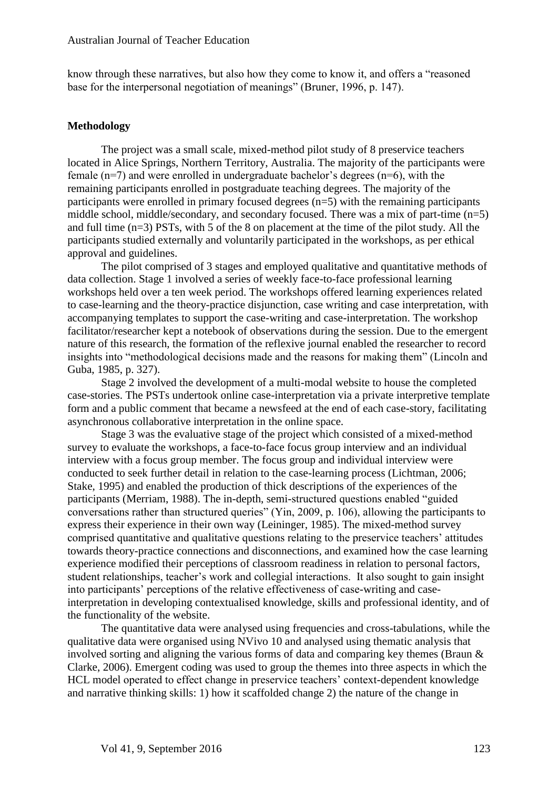know through these narratives, but also how they come to know it, and offers a "reasoned base for the interpersonal negotiation of meanings" (Bruner, 1996, p. 147).

#### **Methodology**

The project was a small scale, mixed-method pilot study of 8 preservice teachers located in Alice Springs, Northern Territory, Australia. The majority of the participants were female  $(n=7)$  and were enrolled in undergraduate bachelor's degrees  $(n=6)$ , with the remaining participants enrolled in postgraduate teaching degrees. The majority of the participants were enrolled in primary focused degrees  $(n=5)$  with the remaining participants middle school, middle/secondary, and secondary focused. There was a mix of part-time (n=5) and full time (n=3) PSTs, with 5 of the 8 on placement at the time of the pilot study. All the participants studied externally and voluntarily participated in the workshops, as per ethical approval and guidelines.

The pilot comprised of 3 stages and employed qualitative and quantitative methods of data collection. Stage 1 involved a series of weekly face-to-face professional learning workshops held over a ten week period. The workshops offered learning experiences related to case-learning and the theory-practice disjunction, case writing and case interpretation, with accompanying templates to support the case-writing and case-interpretation. The workshop facilitator/researcher kept a notebook of observations during the session. Due to the emergent nature of this research, the formation of the reflexive journal enabled the researcher to record insights into "methodological decisions made and the reasons for making them" (Lincoln and Guba, 1985, p. 327).

Stage 2 involved the development of a multi-modal website to house the completed case-stories. The PSTs undertook online case-interpretation via a private interpretive template form and a public comment that became a newsfeed at the end of each case-story, facilitating asynchronous collaborative interpretation in the online space.

Stage 3 was the evaluative stage of the project which consisted of a mixed-method survey to evaluate the workshops, a face-to-face focus group interview and an individual interview with a focus group member. The focus group and individual interview were conducted to seek further detail in relation to the case-learning process (Lichtman, 2006; Stake, 1995) and enabled the production of thick descriptions of the experiences of the participants (Merriam, 1988). The in-depth, semi-structured questions enabled "guided conversations rather than structured queries" (Yin, 2009, p. 106), allowing the participants to express their experience in their own way (Leininger, 1985). The mixed-method survey comprised quantitative and qualitative questions relating to the preservice teachers' attitudes towards theory-practice connections and disconnections, and examined how the case learning experience modified their perceptions of classroom readiness in relation to personal factors, student relationships, teacher's work and collegial interactions. It also sought to gain insight into participants' perceptions of the relative effectiveness of case-writing and caseinterpretation in developing contextualised knowledge, skills and professional identity, and of the functionality of the website.

The quantitative data were analysed using frequencies and cross-tabulations, while the qualitative data were organised using NVivo 10 and analysed using thematic analysis that involved sorting and aligning the various forms of data and comparing key themes (Braun & Clarke, 2006). Emergent coding was used to group the themes into three aspects in which the HCL model operated to effect change in preservice teachers' context-dependent knowledge and narrative thinking skills: 1) how it scaffolded change 2) the nature of the change in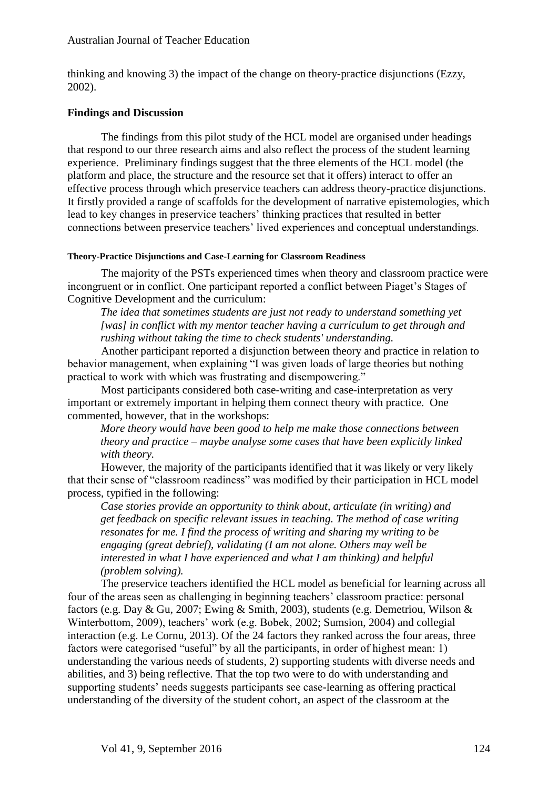thinking and knowing 3) the impact of the change on theory-practice disjunctions (Ezzy, 2002).

# **Findings and Discussion**

The findings from this pilot study of the HCL model are organised under headings that respond to our three research aims and also reflect the process of the student learning experience. Preliminary findings suggest that the three elements of the HCL model (the platform and place, the structure and the resource set that it offers) interact to offer an effective process through which preservice teachers can address theory-practice disjunctions. It firstly provided a range of scaffolds for the development of narrative epistemologies, which lead to key changes in preservice teachers' thinking practices that resulted in better connections between preservice teachers' lived experiences and conceptual understandings.

#### **Theory-Practice Disjunctions and Case-Learning for Classroom Readiness**

The majority of the PSTs experienced times when theory and classroom practice were incongruent or in conflict. One participant reported a conflict between Piaget's Stages of Cognitive Development and the curriculum:

*The idea that sometimes students are just not ready to understand something yet [was] in conflict with my mentor teacher having a curriculum to get through and rushing without taking the time to check students' understanding.*

Another participant reported a disjunction between theory and practice in relation to behavior management, when explaining "I was given loads of large theories but nothing practical to work with which was frustrating and disempowering."

Most participants considered both case-writing and case-interpretation as very important or extremely important in helping them connect theory with practice. One commented, however, that in the workshops:

*More theory would have been good to help me make those connections between theory and practice – maybe analyse some cases that have been explicitly linked with theory.*

However, the majority of the participants identified that it was likely or very likely that their sense of "classroom readiness" was modified by their participation in HCL model process, typified in the following:

*Case stories provide an opportunity to think about, articulate (in writing) and get feedback on specific relevant issues in teaching. The method of case writing resonates for me. I find the process of writing and sharing my writing to be engaging (great debrief), validating (I am not alone. Others may well be interested in what I have experienced and what I am thinking) and helpful (problem solving).* 

The preservice teachers identified the HCL model as beneficial for learning across all four of the areas seen as challenging in beginning teachers' classroom practice: personal factors (e.g. Day & Gu, 2007; Ewing & Smith, 2003), students (e.g. Demetriou, Wilson & Winterbottom, 2009), teachers' work (e.g. Bobek, 2002; Sumsion, 2004) and collegial interaction (e.g. Le Cornu, 2013). Of the 24 factors they ranked across the four areas, three factors were categorised "useful" by all the participants, in order of highest mean: 1) understanding the various needs of students, 2) supporting students with diverse needs and abilities, and 3) being reflective. That the top two were to do with understanding and supporting students' needs suggests participants see case-learning as offering practical understanding of the diversity of the student cohort, an aspect of the classroom at the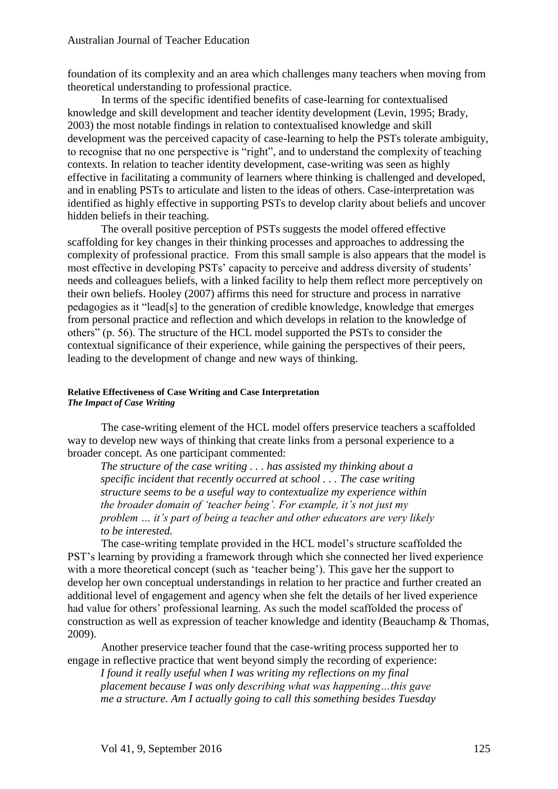foundation of its complexity and an area which challenges many teachers when moving from theoretical understanding to professional practice.

In terms of the specific identified benefits of case-learning for contextualised knowledge and skill development and teacher identity development (Levin, 1995; Brady, 2003) the most notable findings in relation to contextualised knowledge and skill development was the perceived capacity of case-learning to help the PSTs tolerate ambiguity, to recognise that no one perspective is "right", and to understand the complexity of teaching contexts. In relation to teacher identity development, case-writing was seen as highly effective in facilitating a community of learners where thinking is challenged and developed, and in enabling PSTs to articulate and listen to the ideas of others. Case-interpretation was identified as highly effective in supporting PSTs to develop clarity about beliefs and uncover hidden beliefs in their teaching.

The overall positive perception of PSTs suggests the model offered effective scaffolding for key changes in their thinking processes and approaches to addressing the complexity of professional practice. From this small sample is also appears that the model is most effective in developing PSTs' capacity to perceive and address diversity of students' needs and colleagues beliefs, with a linked facility to help them reflect more perceptively on their own beliefs. Hooley (2007) affirms this need for structure and process in narrative pedagogies as it "lead[s] to the generation of credible knowledge, knowledge that emerges from personal practice and reflection and which develops in relation to the knowledge of others" (p. 56). The structure of the HCL model supported the PSTs to consider the contextual significance of their experience, while gaining the perspectives of their peers, leading to the development of change and new ways of thinking.

#### **Relative Effectiveness of Case Writing and Case Interpretation** *The Impact of Case Writing*

The case-writing element of the HCL model offers preservice teachers a scaffolded way to develop new ways of thinking that create links from a personal experience to a broader concept. As one participant commented:

*The structure of the case writing . . . has assisted my thinking about a specific incident that recently occurred at school . . . The case writing structure seems to be a useful way to contextualize my experience within the broader domain of 'teacher being'. For example, it's not just my problem … it's part of being a teacher and other educators are very likely to be interested.* 

The case-writing template provided in the HCL model's structure scaffolded the PST's learning by providing a framework through which she connected her lived experience with a more theoretical concept (such as 'teacher being'). This gave her the support to develop her own conceptual understandings in relation to her practice and further created an additional level of engagement and agency when she felt the details of her lived experience had value for others' professional learning. As such the model scaffolded the process of construction as well as expression of teacher knowledge and identity (Beauchamp & Thomas, 2009).

Another preservice teacher found that the case-writing process supported her to engage in reflective practice that went beyond simply the recording of experience:

*I found it really useful when I was writing my reflections on my final placement because I was only describing what was happening…this gave me a structure. Am I actually going to call this something besides Tuesday*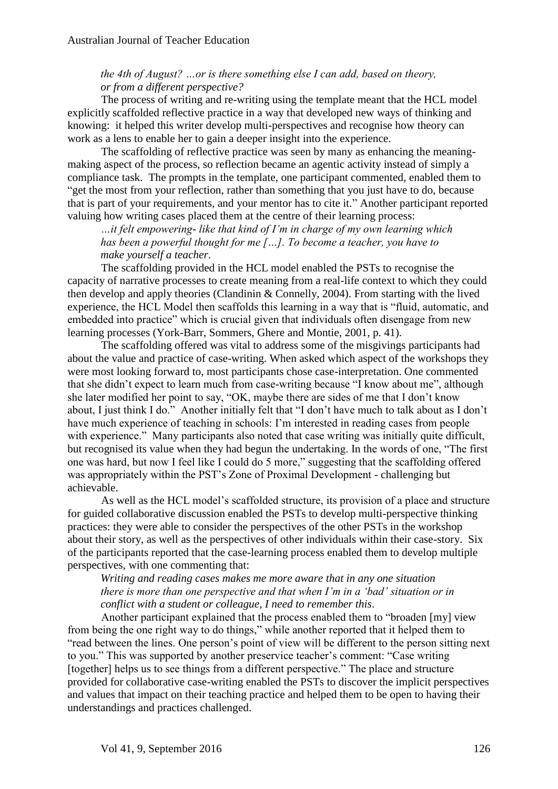## *the 4th of August? …or is there something else I can add, based on theory, or from a different perspective?*

The process of writing and re-writing using the template meant that the HCL model explicitly scaffolded reflective practice in a way that developed new ways of thinking and knowing: it helped this writer develop multi-perspectives and recognise how theory can work as a lens to enable her to gain a deeper insight into the experience.

The scaffolding of reflective practice was seen by many as enhancing the meaningmaking aspect of the process, so reflection became an agentic activity instead of simply a compliance task. The prompts in the template, one participant commented, enabled them to "get the most from your reflection, rather than something that you just have to do, because that is part of your requirements, and your mentor has to cite it." Another participant reported valuing how writing cases placed them at the centre of their learning process:

*…it felt empowering- like that kind of I'm in charge of my own learning which has been a powerful thought for me […]. To become a teacher, you have to make yourself a teacher*.

The scaffolding provided in the HCL model enabled the PSTs to recognise the capacity of narrative processes to create meaning from a real-life context to which they could then develop and apply theories (Clandinin & Connelly, 2004). From starting with the lived experience, the HCL Model then scaffolds this learning in a way that is "fluid, automatic, and embedded into practice" which is crucial given that individuals often disengage from new learning processes (York-Barr, Sommers, Ghere and Montie, 2001, p. 41).

The scaffolding offered was vital to address some of the misgivings participants had about the value and practice of case-writing. When asked which aspect of the workshops they were most looking forward to, most participants chose case-interpretation. One commented that she didn't expect to learn much from case-writing because "I know about me", although she later modified her point to say, "OK, maybe there are sides of me that I don't know about, I just think I do." Another initially felt that "I don't have much to talk about as I don't have much experience of teaching in schools: I'm interested in reading cases from people with experience." Many participants also noted that case writing was initially quite difficult, but recognised its value when they had begun the undertaking. In the words of one, "The first one was hard, but now I feel like I could do 5 more," suggesting that the scaffolding offered was appropriately within the PST's Zone of Proximal Development - challenging but achievable.

As well as the HCL model's scaffolded structure, its provision of a place and structure for guided collaborative discussion enabled the PSTs to develop multi-perspective thinking practices: they were able to consider the perspectives of the other PSTs in the workshop about their story, as well as the perspectives of other individuals within their case-story. Six of the participants reported that the case-learning process enabled them to develop multiple perspectives, with one commenting that:

*Writing and reading cases makes me more aware that in any one situation there is more than one perspective and that when I'm in a 'bad' situation or in conflict with a student or colleague, I need to remember this*.

Another participant explained that the process enabled them to "broaden [my] view from being the one right way to do things," while another reported that it helped them to "read between the lines. One person's point of view will be different to the person sitting next to you." This was supported by another preservice teacher's comment: "Case writing [together] helps us to see things from a different perspective." The place and structure provided for collaborative case-writing enabled the PSTs to discover the implicit perspectives and values that impact on their teaching practice and helped them to be open to having their understandings and practices challenged.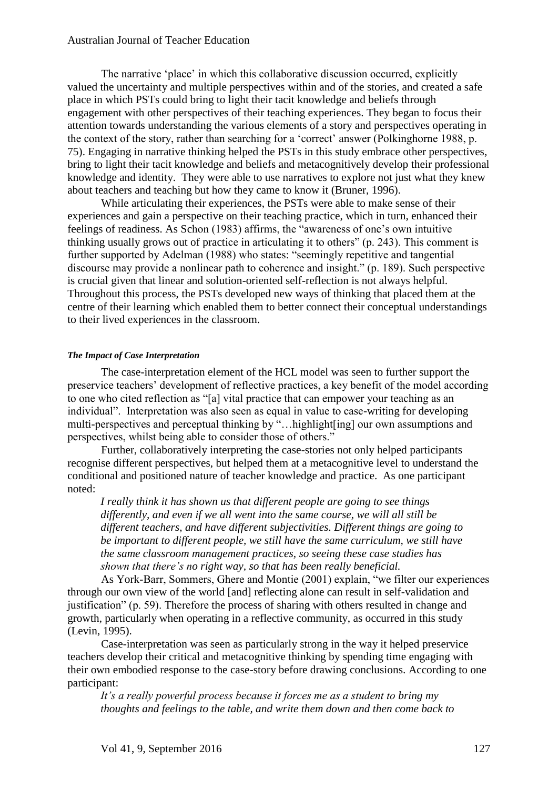The narrative 'place' in which this collaborative discussion occurred, explicitly valued the uncertainty and multiple perspectives within and of the stories, and created a safe place in which PSTs could bring to light their tacit knowledge and beliefs through engagement with other perspectives of their teaching experiences. They began to focus their attention towards understanding the various elements of a story and perspectives operating in the context of the story, rather than searching for a 'correct' answer (Polkinghorne 1988, p. 75). Engaging in narrative thinking helped the PSTs in this study embrace other perspectives, bring to light their tacit knowledge and beliefs and metacognitively develop their professional knowledge and identity. They were able to use narratives to explore not just what they knew about teachers and teaching but how they came to know it (Bruner, 1996).

While articulating their experiences, the PSTs were able to make sense of their experiences and gain a perspective on their teaching practice, which in turn, enhanced their feelings of readiness. As Schon (1983) affirms, the "awareness of one's own intuitive thinking usually grows out of practice in articulating it to others" (p. 243). This comment is further supported by Adelman (1988) who states: "seemingly repetitive and tangential discourse may provide a nonlinear path to coherence and insight." (p. 189). Such perspective is crucial given that linear and solution-oriented self-reflection is not always helpful. Throughout this process, the PSTs developed new ways of thinking that placed them at the centre of their learning which enabled them to better connect their conceptual understandings to their lived experiences in the classroom.

#### *The Impact of Case Interpretation*

The case-interpretation element of the HCL model was seen to further support the preservice teachers' development of reflective practices, a key benefit of the model according to one who cited reflection as "[a] vital practice that can empower your teaching as an individual". Interpretation was also seen as equal in value to case-writing for developing multi-perspectives and perceptual thinking by "…highlight[ing] our own assumptions and perspectives, whilst being able to consider those of others."

Further, collaboratively interpreting the case-stories not only helped participants recognise different perspectives, but helped them at a metacognitive level to understand the conditional and positioned nature of teacher knowledge and practice. As one participant noted:

*I really think it has shown us that different people are going to see things differently, and even if we all went into the same course, we will all still be different teachers, and have different subjectivities. Different things are going to be important to different people, we still have the same curriculum, we still have the same classroom management practices, so seeing these case studies has shown that there's no right way, so that has been really beneficial.*

As York-Barr, Sommers, Ghere and Montie (2001) explain, "we filter our experiences through our own view of the world [and] reflecting alone can result in self-validation and justification" (p. 59). Therefore the process of sharing with others resulted in change and growth, particularly when operating in a reflective community, as occurred in this study (Levin, 1995).

Case-interpretation was seen as particularly strong in the way it helped preservice teachers develop their critical and metacognitive thinking by spending time engaging with their own embodied response to the case-story before drawing conclusions. According to one participant:

*It's a really powerful process because it forces me as a student to bring my thoughts and feelings to the table, and write them down and then come back to*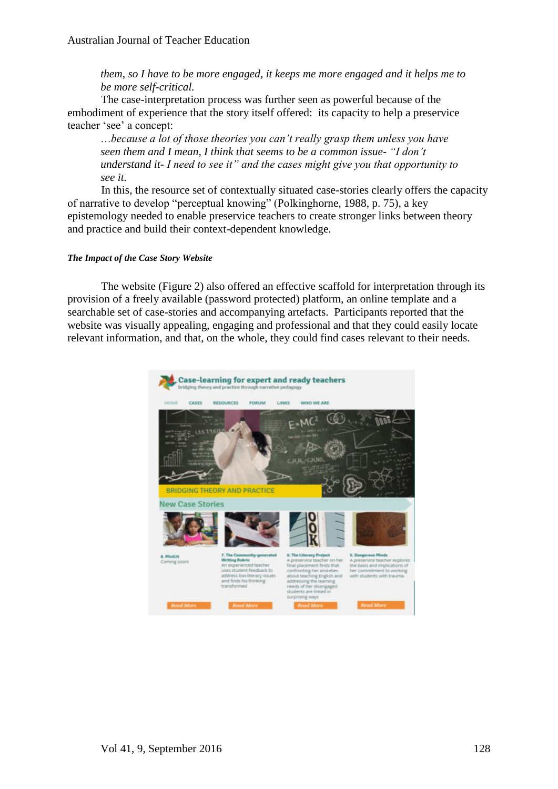*them, so I have to be more engaged, it keeps me more engaged and it helps me to be more self-critical.*

The case-interpretation process was further seen as powerful because of the embodiment of experience that the story itself offered: its capacity to help a preservice teacher 'see' a concept:

…*because a lot of those theories you can't really grasp them unless you have seen them and I mean, I think that seems to be a common issue- "I don't understand it- I need to see it" and the cases might give you that opportunity to see it.*

In this, the resource set of contextually situated case-stories clearly offers the capacity of narrative to develop "perceptual knowing" (Polkinghorne, 1988, p. 75), a key epistemology needed to enable preservice teachers to create stronger links between theory and practice and build their context-dependent knowledge.

#### *The Impact of the Case Story Website*

The website (Figure 2) also offered an effective scaffold for interpretation through its provision of a freely available (password protected) platform, an online template and a searchable set of case-stories and accompanying artefacts. Participants reported that the website was visually appealing, engaging and professional and that they could easily locate relevant information, and that, on the whole, they could find cases relevant to their needs.

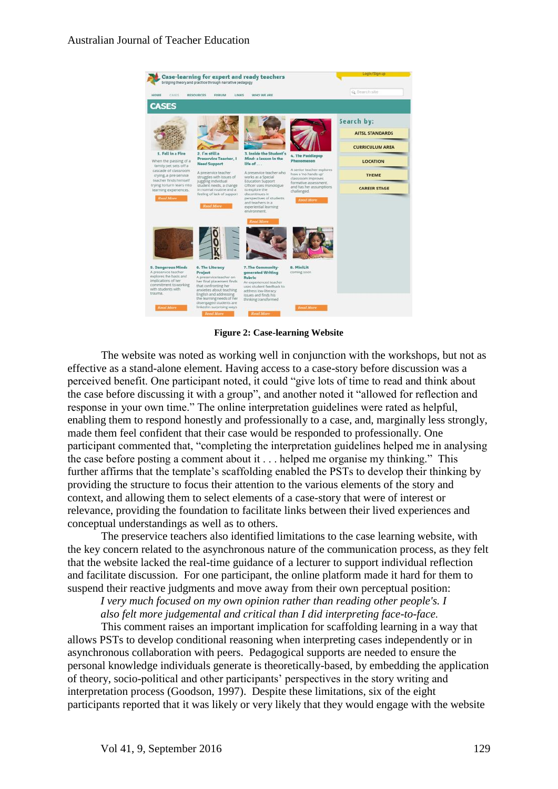

**Figure 2: Case-learning Website**

The website was noted as working well in conjunction with the workshops, but not as effective as a stand-alone element. Having access to a case-story before discussion was a perceived benefit. One participant noted, it could "give lots of time to read and think about the case before discussing it with a group", and another noted it "allowed for reflection and response in your own time." The online interpretation guidelines were rated as helpful, enabling them to respond honestly and professionally to a case, and, marginally less strongly, made them feel confident that their case would be responded to professionally. One participant commented that, "completing the interpretation guidelines helped me in analysing the case before posting a comment about it . . . helped me organise my thinking." This further affirms that the template's scaffolding enabled the PSTs to develop their thinking by providing the structure to focus their attention to the various elements of the story and context, and allowing them to select elements of a case-story that were of interest or relevance, providing the foundation to facilitate links between their lived experiences and conceptual understandings as well as to others.

The preservice teachers also identified limitations to the case learning website, with the key concern related to the asynchronous nature of the communication process, as they felt that the website lacked the real-time guidance of a lecturer to support individual reflection and facilitate discussion. For one participant, the online platform made it hard for them to suspend their reactive judgments and move away from their own perceptual position:

*I very much focused on my own opinion rather than reading other people's. I also felt more judgemental and critical than I did interpreting face-to-face*.

This comment raises an important implication for scaffolding learning in a way that allows PSTs to develop conditional reasoning when interpreting cases independently or in asynchronous collaboration with peers. Pedagogical supports are needed to ensure the personal knowledge individuals generate is theoretically-based, by embedding the application of theory, socio-political and other participants' perspectives in the story writing and interpretation process (Goodson, 1997). Despite these limitations, six of the eight participants reported that it was likely or very likely that they would engage with the website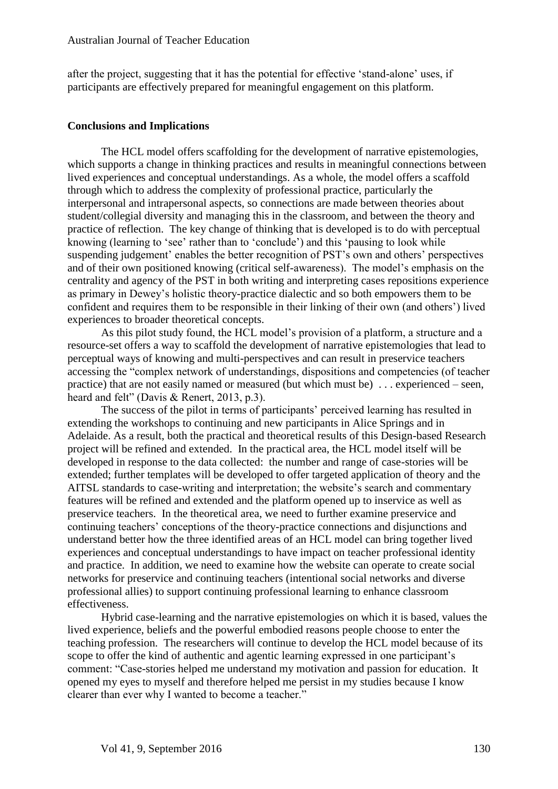after the project, suggesting that it has the potential for effective 'stand-alone' uses, if participants are effectively prepared for meaningful engagement on this platform.

#### **Conclusions and Implications**

The HCL model offers scaffolding for the development of narrative epistemologies, which supports a change in thinking practices and results in meaningful connections between lived experiences and conceptual understandings. As a whole, the model offers a scaffold through which to address the complexity of professional practice, particularly the interpersonal and intrapersonal aspects, so connections are made between theories about student/collegial diversity and managing this in the classroom, and between the theory and practice of reflection. The key change of thinking that is developed is to do with perceptual knowing (learning to 'see' rather than to 'conclude') and this 'pausing to look while suspending judgement' enables the better recognition of PST's own and others' perspectives and of their own positioned knowing (critical self-awareness). The model's emphasis on the centrality and agency of the PST in both writing and interpreting cases repositions experience as primary in Dewey's holistic theory-practice dialectic and so both empowers them to be confident and requires them to be responsible in their linking of their own (and others') lived experiences to broader theoretical concepts.

As this pilot study found, the HCL model's provision of a platform, a structure and a resource-set offers a way to scaffold the development of narrative epistemologies that lead to perceptual ways of knowing and multi-perspectives and can result in preservice teachers accessing the "complex network of understandings, dispositions and competencies (of teacher practice) that are not easily named or measured (but which must be) . . . experienced – seen, heard and felt" (Davis & Renert, 2013, p.3).

The success of the pilot in terms of participants' perceived learning has resulted in extending the workshops to continuing and new participants in Alice Springs and in Adelaide. As a result, both the practical and theoretical results of this Design-based Research project will be refined and extended. In the practical area, the HCL model itself will be developed in response to the data collected: the number and range of case-stories will be extended; further templates will be developed to offer targeted application of theory and the AITSL standards to case-writing and interpretation; the website's search and commentary features will be refined and extended and the platform opened up to inservice as well as preservice teachers. In the theoretical area, we need to further examine preservice and continuing teachers' conceptions of the theory-practice connections and disjunctions and understand better how the three identified areas of an HCL model can bring together lived experiences and conceptual understandings to have impact on teacher professional identity and practice. In addition, we need to examine how the website can operate to create social networks for preservice and continuing teachers (intentional social networks and diverse professional allies) to support continuing professional learning to enhance classroom effectiveness.

Hybrid case-learning and the narrative epistemologies on which it is based, values the lived experience, beliefs and the powerful embodied reasons people choose to enter the teaching profession. The researchers will continue to develop the HCL model because of its scope to offer the kind of authentic and agentic learning expressed in one participant's comment: "Case-stories helped me understand my motivation and passion for education. It opened my eyes to myself and therefore helped me persist in my studies because I know clearer than ever why I wanted to become a teacher."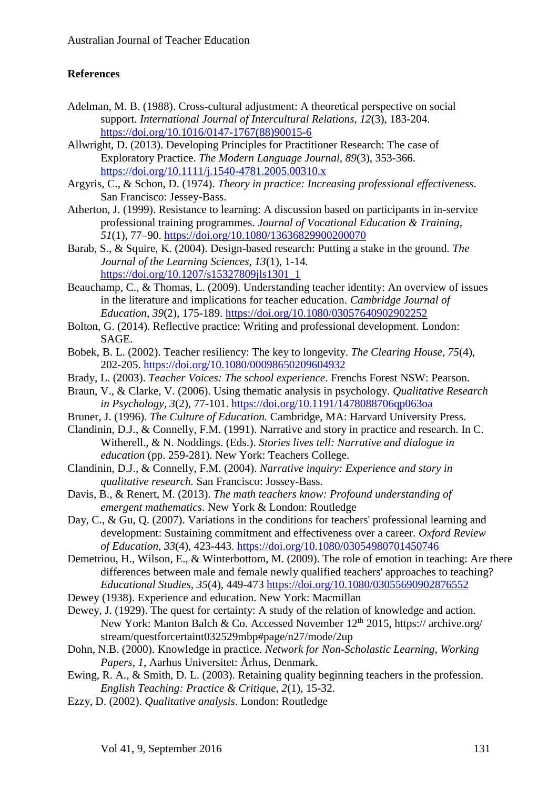# **References**

- Adelman, M. B. (1988). Cross-cultural adjustment: A theoretical perspective on social support. *International Journal of Intercultural Relations, 12*(3), 183-204. [https://doi.org/10.1016/0147-1767\(88\)90015-6](https://doi.org/10.1016/0147-1767%2888%2990015-6)
- Allwright, D. (2013). Developing Principles for Practitioner Research: The case of Exploratory Practice. *The Modern Language Journal, 89*(3), 353-366. <https://doi.org/10.1111/j.1540-4781.2005.00310.x>
- Argyris, C., & Schon, D. (1974). *Theory in practice: Increasing professional effectiveness*. San Francisco: Jessey-Bass.
- Atherton, J. (1999). Resistance to learning: A discussion based on participants in in-service professional training programmes. *Journal of Vocational Education & Training*, *51*(1), 77–90. <https://doi.org/10.1080/13636829900200070>
- Barab, S., & Squire, K. (2004). Design-based research: Putting a stake in the ground. *The Journal of the Learning Sciences, 13*(1), 1-14. [https://doi.org/10.1207/s15327809jls1301\\_1](https://doi.org/10.1207/s15327809jls1301_1)
- Beauchamp, C., & Thomas, L. (2009). Understanding teacher identity: An overview of issues in the literature and implications for teacher education. *Cambridge Journal of Education, 39*(2), 175-189. <https://doi.org/10.1080/03057640902902252>
- Bolton, G. (2014). Reflective practice: Writing and professional development. London: SAGE.
- Bobek, B. L. (2002). Teacher resiliency: The key to longevity. *The Clearing House, 75*(4), 202-205.<https://doi.org/10.1080/00098650209604932>
- Brady, L. (2003). *Teacher Voices: The school experience*. Frenchs Forest NSW: Pearson.
- Braun, V., & Clarke, V. (2006). Using thematic analysis in psychology. *Qualitative Research in Psychology, 3*(2), 77-101.<https://doi.org/10.1191/1478088706qp063oa>
- Bruner, J. (1996). *The Culture of Education.* Cambridge, MA: Harvard University Press.
- Clandinin, D.J., & Connelly, F.M. (1991). Narrative and story in practice and research. In C. Witherell., & N. Noddings. (Eds.). *Stories lives tell: Narrative and dialogue in education* (pp. 259-281). New York: Teachers College.
- Clandinin, D.J., & Connelly, F.M. (2004). *Narrative inquiry: Experience and story in qualitative research.* San Francisco: Jossey-Bass.
- Davis, B., & Renert, M. (2013). *The math teachers know: Profound understanding of emergent mathematics*. New York & London: Routledge
- Day, C., & Gu, Q. (2007). Variations in the conditions for teachers' professional learning and development: Sustaining commitment and effectiveness over a career. *Oxford Review of Education, 33*(4), 423-443.<https://doi.org/10.1080/03054980701450746>
- Demetriou, H., Wilson, E., & Winterbottom, M. (2009). The role of emotion in teaching: Are there differences between male and female newly qualified teachers' approaches to teaching? *Educational Studies, 35*(4), 449-473<https://doi.org/10.1080/03055690902876552>
- Dewey (1938). Experience and education. New York: Macmillan
- Dewey, J. (1929). The quest for certainty: A study of the relation of knowledge and action. New York: Manton Balch & Co. Accessed November  $12<sup>th</sup> 2015$ , https:// archive.org/ stream/questforcertaint032529mbp#page/n27/mode/2up
- Dohn, N.B. (2000). Knowledge in practice. *Network for Non-Scholastic Learning, Working Papers, 1*, Aarhus Universitet: Århus, Denmark.
- Ewing, R. A., & Smith, D. L. (2003). Retaining quality beginning teachers in the profession. *English Teaching: Practice & Critique, 2*(1), 15-32.
- Ezzy, D. (2002). *Qualitative analysis*. London: Routledge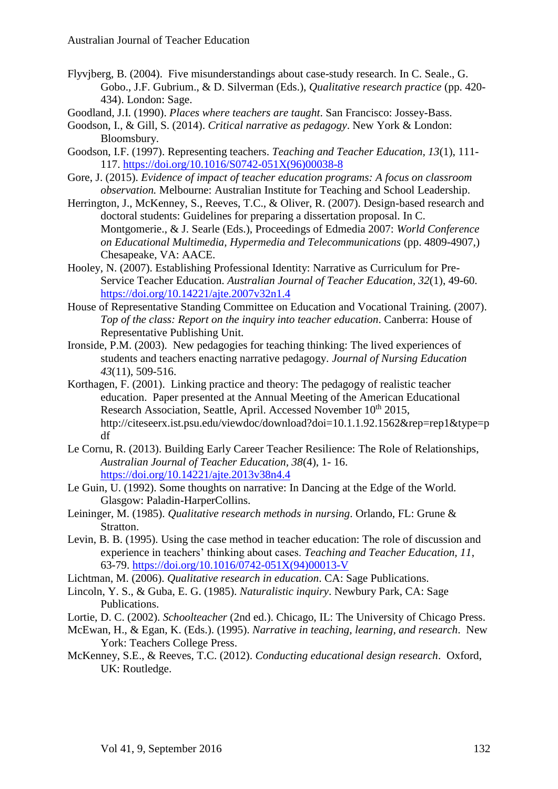- Flyvjberg, B. (2004). Five misunderstandings about case-study research. In C. Seale., G. Gobo., J.F. Gubrium., & D. Silverman (Eds.), *Qualitative research practice* (pp. 420- 434). London: Sage.
- Goodland, J.I. (1990). *Places where teachers are taught*. San Francisco: Jossey-Bass.
- Goodson, I., & Gill, S. (2014). *Critical narrative as pedagogy*. New York & London: Bloomsbury.
- Goodson, I.F. (1997). Representing teachers. *Teaching and Teacher Education, 13*(1), 111- 117. [https://doi.org/10.1016/S0742-051X\(96\)00038-8](https://doi.org/10.1016/S0742-051X%2896%2900038-8)
- Gore, J. (2015). *Evidence of impact of teacher education programs: A focus on classroom observation.* Melbourne: Australian Institute for Teaching and School Leadership.
- Herrington, J., McKenney, S., Reeves, T.C., & Oliver, R. (2007). Design-based research and doctoral students: Guidelines for preparing a dissertation proposal. In C. Montgomerie., & J. Searle (Eds.), Proceedings of Edmedia 2007: *World Conference on Educational Multimedia, Hypermedia and Telecommunications* (pp. 4809-4907,) Chesapeake, VA: AACE.
- Hooley, N. (2007). Establishing Professional Identity: Narrative as Curriculum for Pre-Service Teacher Education. *Australian Journal of Teacher Education, 32*(1), 49-60. <https://doi.org/10.14221/ajte.2007v32n1.4>
- House of Representative Standing Committee on Education and Vocational Training. (2007). *Top of the class: Report on the inquiry into teacher education*. Canberra: House of Representative Publishing Unit.
- Ironside, P.M. (2003). New pedagogies for teaching thinking: The lived experiences of students and teachers enacting narrative pedagogy. *Journal of Nursing Education 43*(11), 509-516.
- Korthagen, F. (2001). Linking practice and theory: The pedagogy of realistic teacher education. Paper presented at the Annual Meeting of the American Educational Research Association, Seattle, April. Accessed November 10<sup>th</sup> 2015, [http://citeseerx.ist.psu.edu/viewdoc/download?doi=10.1.1.92.1562&rep=rep1&type=p](http://citeseerx.ist.psu.edu/viewdoc/download?doi=10.1.1.92.1562&rep=rep1&type=pdf) [df](http://citeseerx.ist.psu.edu/viewdoc/download?doi=10.1.1.92.1562&rep=rep1&type=pdf)
- Le Cornu, R. (2013). Building Early Career Teacher Resilience: The Role of Relationships, *Australian Journal of Teacher Education, 38*(4), 1- 16. <https://doi.org/10.14221/ajte.2013v38n4.4>
- Le Guin, U. (1992). Some thoughts on narrative: In Dancing at the Edge of the World. Glasgow: Paladin-HarperCollins.
- Leininger, M. (1985). *Qualitative research methods in nursing*. Orlando, FL: Grune & Stratton.
- Levin, B. B. (1995). Using the case method in teacher education: The role of discussion and experience in teachers' thinking about cases. *Teaching and Teacher Education, 11*, 63-79. [https://doi.org/10.1016/0742-051X\(94\)00013-V](https://doi.org/10.1016/0742-051X%2894%2900013-V)
- Lichtman, M. (2006). *Qualitative research in education*. CA: Sage Publications.
- Lincoln, Y. S., & Guba, E. G. (1985). *Naturalistic inquiry*. Newbury Park, CA: Sage Publications.
- Lortie, D. C. (2002). *Schoolteacher* (2nd ed.). Chicago, IL: The University of Chicago Press.
- McEwan, H., & Egan, K. (Eds.). (1995). *Narrative in teaching, learning, and research*. New York: Teachers College Press.
- McKenney, S.E., & Reeves, T.C. (2012). *Conducting educational design research*. Oxford, UK: Routledge.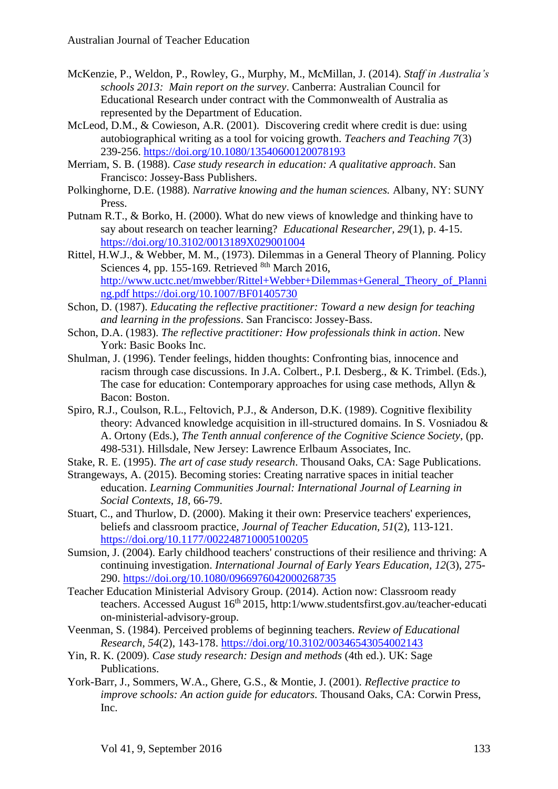- McKenzie, P., Weldon, P., Rowley, G., Murphy, M., McMillan, J. (2014). *Staff in Australia's schools 2013: Main report on the survey*. Canberra: Australian Council for Educational Research under contract with the Commonwealth of Australia as represented by the Department of Education.
- McLeod, D.M., & Cowieson, A.R. (2001). Discovering credit where credit is due: using autobiographical writing as a tool for voicing growth. *Teachers and Teaching 7*(3) 239-256. <https://doi.org/10.1080/13540600120078193>
- Merriam, S. B. (1988). *Case study research in education: A qualitative approach*. San Francisco: Jossey-Bass Publishers.
- Polkinghorne, D.E. (1988). *Narrative knowing and the human sciences.* Albany, NY: SUNY Press.
- Putnam R.T., & Borko, H. (2000). What do new views of knowledge and thinking have to say about research on teacher learning? *Educational Researcher, 29*(1), p. 4-15. <https://doi.org/10.3102/0013189X029001004>
- Rittel, H.W.J., & Webber, M. M., (1973). Dilemmas in a General Theory of Planning. Policy Sciences 4, pp. 155-169. Retrieved 8th March 2016, [http://www.uctc.net/mwebber/Rittel+Webber+Dilemmas+General\\_Theory\\_of\\_Planni](http://www.uctc.net/mwebber/Rittel+Webber+Dilemmas+General_Theory_of_Planning.pdf) [ng.pdf](http://www.uctc.net/mwebber/Rittel+Webber+Dilemmas+General_Theory_of_Planning.pdf) <https://doi.org/10.1007/BF01405730>
- Schon, D. (1987). *Educating the reflective practitioner: Toward a new design for teaching and learning in the professions*. San Francisco: Jossey-Bass.
- Schon, D.A. (1983). *The reflective practitioner: How professionals think in action*. New York: Basic Books Inc.
- Shulman, J. (1996). Tender feelings, hidden thoughts: Confronting bias, innocence and racism through case discussions. In J.A. Colbert., P.I. Desberg., & K. Trimbel. (Eds.), The case for education: Contemporary approaches for using case methods, Allyn & Bacon: Boston.
- Spiro, R.J., Coulson, R.L., Feltovich, P.J., & Anderson, D.K. (1989). Cognitive flexibility theory: Advanced knowledge acquisition in ill-structured domains. In S. Vosniadou & A. Ortony (Eds.), *The Tenth annual conference of the Cognitive Science Society*, (pp. 498-531). Hillsdale, New Jersey: Lawrence Erlbaum Associates, Inc.

Stake, R. E. (1995). *The art of case study research*. Thousand Oaks, CA: Sage Publications.

- Strangeways, A. (2015). Becoming stories: Creating narrative spaces in initial teacher education. *Learning Communities Journal: International Journal of Learning in Social Contexts, 18*, 66-79.
- Stuart, C., and Thurlow, D. (2000). Making it their own: Preservice teachers' experiences, beliefs and classroom practice, *Journal of Teacher Education, 51*(2), 113-121. <https://doi.org/10.1177/002248710005100205>
- Sumsion, J. (2004). Early childhood teachers' constructions of their resilience and thriving: A continuing investigation. *International Journal of Early Years Education, 12*(3), 275- 290.<https://doi.org/10.1080/0966976042000268735>
- Teacher Education Ministerial Advisory Group. (2014). Action now: Classroom ready teachers. Accessed August 16<sup>th</sup> 2015, http:1/www.studentsfirst.gov.au/teacher-educati on-ministerial-advisory-group.
- Veenman, S. (1984). Perceived problems of beginning teachers. *Review of Educational Research, 54*(2), 143-178. <https://doi.org/10.3102/00346543054002143>
- Yin, R. K. (2009). *Case study research: Design and methods* (4th ed.). UK: Sage Publications.
- York-Barr, J., Sommers, W.A., Ghere, G.S., & Montie, J. (2001). *Reflective practice to improve schools: An action guide for educators.* Thousand Oaks, CA: Corwin Press, Inc.